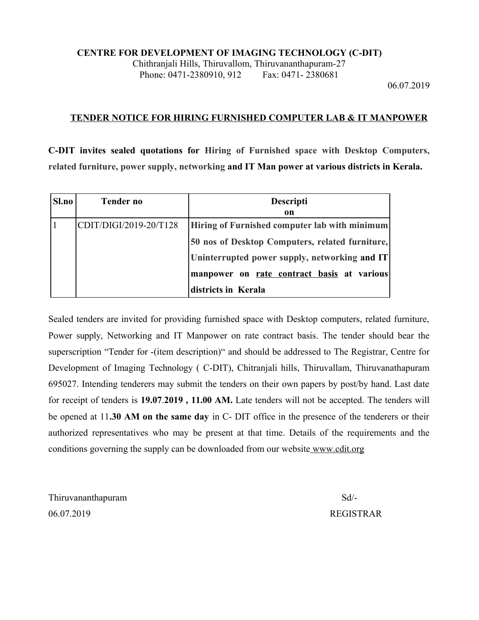#### **CENTRE FOR DEVELOPMENT OF IMAGING TECHNOLOGY (C-DIT)**

Chithranjali Hills, Thiruvallom, Thiruvananthapuram-27 Phone: 0471-2380910, 912 Fax: 0471-2380681

06.07.2019

#### **TENDER NOTICE FOR HIRING FURNISHED COMPUTER LAB & IT MANPOWER**

**C-DIT invites sealed quotations for Hiring of Furnished space with Desktop Computers, related furniture, power supply, networking and IT Man power at various districts in Kerala.**

| Sl.no | <b>Tender no</b>       | <b>Descripti</b><br>on                          |  |
|-------|------------------------|-------------------------------------------------|--|
|       | CDIT/DIGI/2019-20/T128 | Hiring of Furnished computer lab with minimum   |  |
|       |                        | 50 nos of Desktop Computers, related furniture, |  |
|       |                        | Uninterrupted power supply, networking and IT   |  |
|       |                        | manpower on rate contract basis at various      |  |
|       |                        | districts in Kerala                             |  |

Sealed tenders are invited for providing furnished space with Desktop computers, related furniture, Power supply, Networking and IT Manpower on rate contract basis. The tender should bear the superscription "Tender for -(item description)" and should be addressed to The Registrar, Centre for Development of Imaging Technology ( C-DIT), Chitranjali hills, Thiruvallam, Thiruvanathapuram 695027. Intending tenderers may submit the tenders on their own papers by post/by hand. Last date for receipt of tenders is **19.07**.**2019 , 11.00 AM.** Late tenders will not be accepted. The tenders will be opened at 11**.30 AM on the same day** in C- DIT office in the presence of the tenderers or their authorized representatives who may be present at that time. Details of the requirements and the conditions governing the supply can be downloaded from our website [www.cdit.org](http://www.cdit.org/)

Thiruvananthapuram Sd/- 06.07.2019 REGISTRAR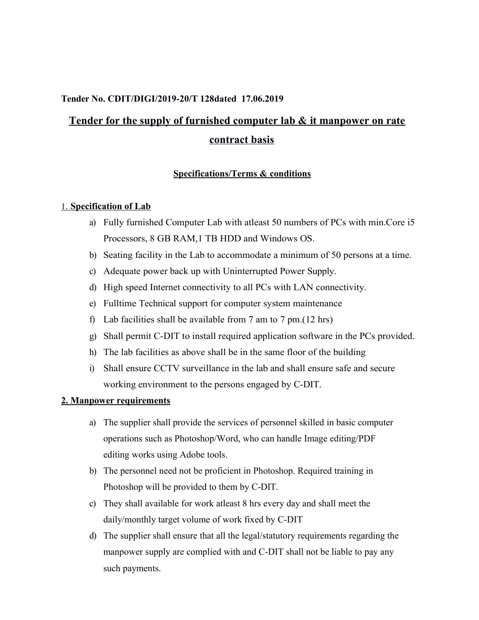## **Tender No. CDIT/DIGI/2019-20/T 128dated 17.06.2019**

# **Tender for the supply of furnished computer lab & it manpower on rate contract basis**

#### **Specifications/Terms & conditions**

#### 1. **Specification of Lab**

- a) Fully furnished Computer Lab with atleast 50 numbers of PCs with min.Core i5 Processors, 8 GB RAM,1 TB HDD and Windows OS.
- b) Seating facility in the Lab to accommodate a minimum of 50 persons at a time.
- c) Adequate power back up with Uninterrupted Power Supply.
- d) High speed Internet connectivity to all PCs with LAN connectivity.
- e) Fulltime Technical support for computer system maintenance
- f) Lab facilities shall be available from 7 am to 7 pm.(12 hrs)
- g) Shall permit C-DIT to install required application software in the PCs provided.
- h) The lab facilities as above shall be in the same floor of the building
- i) Shall ensure CCTV surveillance in the lab and shall ensure safe and secure working environment to the persons engaged by C-DIT.

#### **2. Manpower requirements**

- a) The supplier shall provide the services of personnel skilled in basic computer operations such as Photoshop/Word, who can handle Image editing/PDF editing works using Adobe tools.
- b) The personnel need not be proficient in Photoshop. Required training in Photoshop will be provided to them by C-DIT.
- c) They shall available for work atleast 8 hrs every day and shall meet the daily/monthly target volume of work fixed by C-DIT
- d) The supplier shall ensure that all the legal/statutory requirements regarding the manpower supply are complied with and C-DIT shall not be liable to pay any such payments.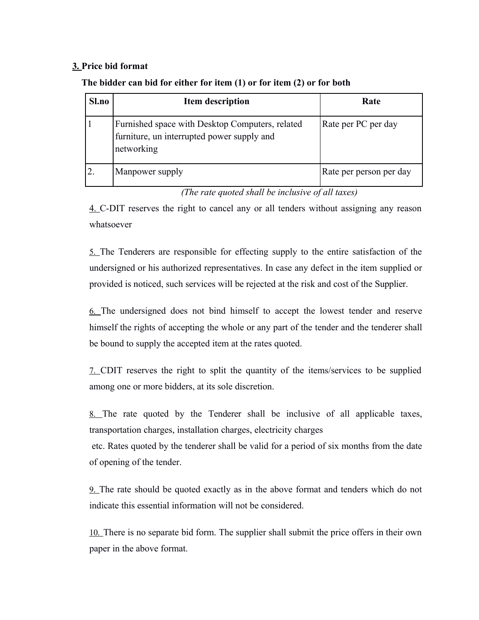#### **3. Price bid format**

| Sl.no | <b>Item description</b>                                                                                     | Rate                    |
|-------|-------------------------------------------------------------------------------------------------------------|-------------------------|
|       | Furnished space with Desktop Computers, related<br>furniture, un interrupted power supply and<br>networking | Rate per PC per day     |
|       | Manpower supply                                                                                             | Rate per person per day |

## **The bidder can bid for either for item (1) or for item (2) or for both**

*(The rate quoted shall be inclusive of all taxes)*

4. C-DIT reserves the right to cancel any or all tenders without assigning any reason whatsoever

5. The Tenderers are responsible for effecting supply to the entire satisfaction of the undersigned or his authorized representatives. In case any defect in the item supplied or provided is noticed, such services will be rejected at the risk and cost of the Supplier.

6. The undersigned does not bind himself to accept the lowest tender and reserve himself the rights of accepting the whole or any part of the tender and the tenderer shall be bound to supply the accepted item at the rates quoted.

7. CDIT reserves the right to split the quantity of the items/services to be supplied among one or more bidders, at its sole discretion.

8. The rate quoted by the Tenderer shall be inclusive of all applicable taxes, transportation charges, installation charges, electricity charges

etc. Rates quoted by the tenderer shall be valid for a period of six months from the date of opening of the tender.

9. The rate should be quoted exactly as in the above format and tenders which do not indicate this essential information will not be considered.

10. There is no separate bid form. The supplier shall submit the price offers in their own paper in the above format.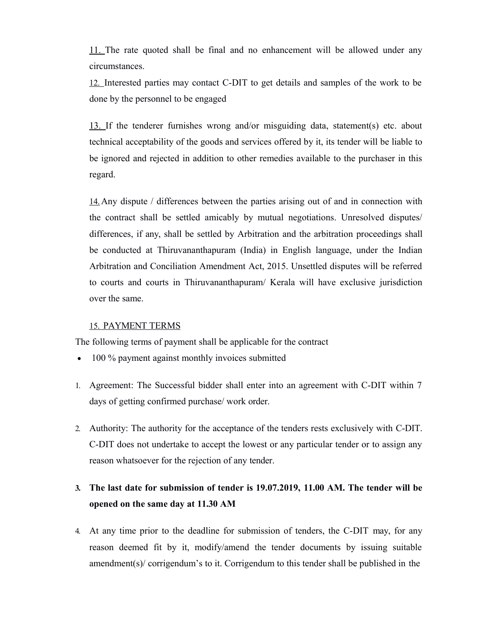11. The rate quoted shall be final and no enhancement will be allowed under any circumstances.

12. Interested parties may contact C-DIT to get details and samples of the work to be done by the personnel to be engaged

13. If the tenderer furnishes wrong and/or misguiding data, statement(s) etc. about technical acceptability of the goods and services offered by it, its tender will be liable to be ignored and rejected in addition to other remedies available to the purchaser in this regard.

14.Any dispute / differences between the parties arising out of and in connection with the contract shall be settled amicably by mutual negotiations. Unresolved disputes/ differences, if any, shall be settled by Arbitration and the arbitration proceedings shall be conducted at Thiruvananthapuram (India) in English language, under the Indian Arbitration and Conciliation Amendment Act, 2015. Unsettled disputes will be referred to courts and courts in Thiruvananthapuram/ Kerala will have exclusive jurisdiction over the same.

#### 15. PAYMENT TERMS

The following terms of payment shall be applicable for the contract

- 100 % payment against monthly invoices submitted
- 1. Agreement: The Successful bidder shall enter into an agreement with C-DIT within 7 days of getting confirmed purchase/ work order.
- 2. Authority: The authority for the acceptance of the tenders rests exclusively with C-DIT. C-DIT does not undertake to accept the lowest or any particular tender or to assign any reason whatsoever for the rejection of any tender.

# **3. The last date for submission of tender is 19.07.2019, 11.00 AM. The tender will be opened on the same day at 11.30 AM**

4. At any time prior to the deadline for submission of tenders, the C-DIT may, for any reason deemed fit by it, modify/amend the tender documents by issuing suitable amendment(s)/ corrigendum's to it. Corrigendum to this tender shall be published in the